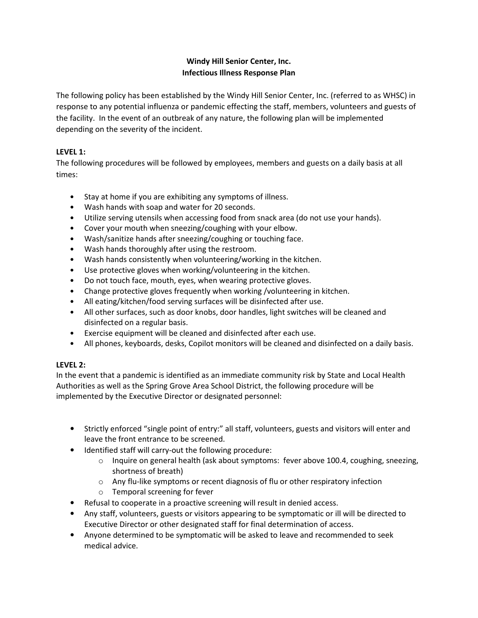# **Windy Hill Senior Center, Inc. Infectious Illness Response Plan**

The following policy has been established by the Windy Hill Senior Center, Inc. (referred to as WHSC) in response to any potential influenza or pandemic effecting the staff, members, volunteers and guests of the facility. In the event of an outbreak of any nature, the following plan will be implemented depending on the severity of the incident.

## **LEVEL 1:**

The following procedures will be followed by employees, members and guests on a daily basis at all times:

- Stay at home if you are exhibiting any symptoms of illness.
- Wash hands with soap and water for 20 seconds.
- Utilize serving utensils when accessing food from snack area (do not use your hands).
- Cover your mouth when sneezing/coughing with your elbow.
- Wash/sanitize hands after sneezing/coughing or touching face.
- Wash hands thoroughly after using the restroom.
- Wash hands consistently when volunteering/working in the kitchen.
- Use protective gloves when working/volunteering in the kitchen.
- Do not touch face, mouth, eyes, when wearing protective gloves.
- Change protective gloves frequently when working /volunteering in kitchen.
- All eating/kitchen/food serving surfaces will be disinfected after use.
- All other surfaces, such as door knobs, door handles, light switches will be cleaned and disinfected on a regular basis.
- Exercise equipment will be cleaned and disinfected after each use.
- All phones, keyboards, desks, Copilot monitors will be cleaned and disinfected on a daily basis.

## **LEVEL 2:**

In the event that a pandemic is identified as an immediate community risk by State and Local Health Authorities as well as the Spring Grove Area School District, the following procedure will be implemented by the Executive Director or designated personnel:

- Strictly enforced "single point of entry:" all staff, volunteers, guests and visitors will enter and leave the front entrance to be screened.
- Identified staff will carry-out the following procedure:
	- o Inquire on general health (ask about symptoms: fever above 100.4, coughing, sneezing, shortness of breath)
	- $\circ$  Any flu-like symptoms or recent diagnosis of flu or other respiratory infection
	- o Temporal screening for fever
- Refusal to cooperate in a proactive screening will result in denied access.
- Any staff, volunteers, guests or visitors appearing to be symptomatic or ill will be directed to Executive Director or other designated staff for final determination of access.
- Anyone determined to be symptomatic will be asked to leave and recommended to seek medical advice.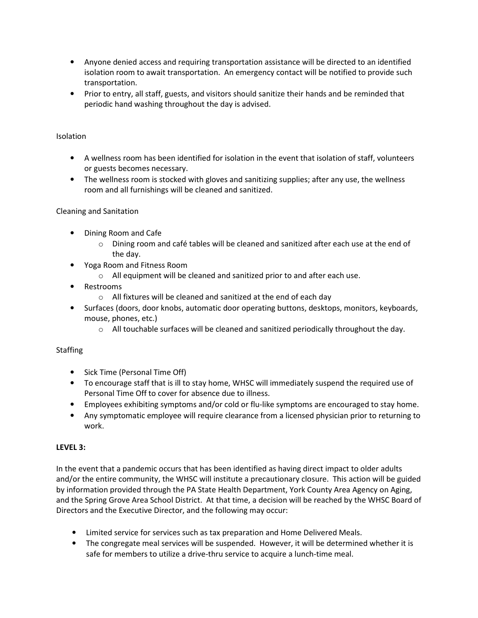- Anyone denied access and requiring transportation assistance will be directed to an identified isolation room to await transportation. An emergency contact will be notified to provide such transportation.
- Prior to entry, all staff, guests, and visitors should sanitize their hands and be reminded that periodic hand washing throughout the day is advised.

#### Isolation

- A wellness room has been identified for isolation in the event that isolation of staff, volunteers or guests becomes necessary.
- The wellness room is stocked with gloves and sanitizing supplies; after any use, the wellness room and all furnishings will be cleaned and sanitized.

#### Cleaning and Sanitation

- Dining Room and Cafe
	- $\circ$  Dining room and café tables will be cleaned and sanitized after each use at the end of the day.
- Yoga Room and Fitness Room
	- o All equipment will be cleaned and sanitized prior to and after each use.
- Restrooms
	- o All fixtures will be cleaned and sanitized at the end of each day
- Surfaces (doors, door knobs, automatic door operating buttons, desktops, monitors, keyboards, mouse, phones, etc.)
	- $\circ$  All touchable surfaces will be cleaned and sanitized periodically throughout the day.

## **Staffing**

- Sick Time (Personal Time Off)
- To encourage staff that is ill to stay home, WHSC will immediately suspend the required use of Personal Time Off to cover for absence due to illness.
- Employees exhibiting symptoms and/or cold or flu-like symptoms are encouraged to stay home.
- Any symptomatic employee will require clearance from a licensed physician prior to returning to work.

## **LEVEL 3:**

In the event that a pandemic occurs that has been identified as having direct impact to older adults and/or the entire community, the WHSC will institute a precautionary closure. This action will be guided by information provided through the PA State Health Department, York County Area Agency on Aging, and the Spring Grove Area School District. At that time, a decision will be reached by the WHSC Board of Directors and the Executive Director, and the following may occur:

- Limited service for services such as tax preparation and Home Delivered Meals.
- The congregate meal services will be suspended. However, it will be determined whether it is safe for members to utilize a drive-thru service to acquire a lunch-time meal.